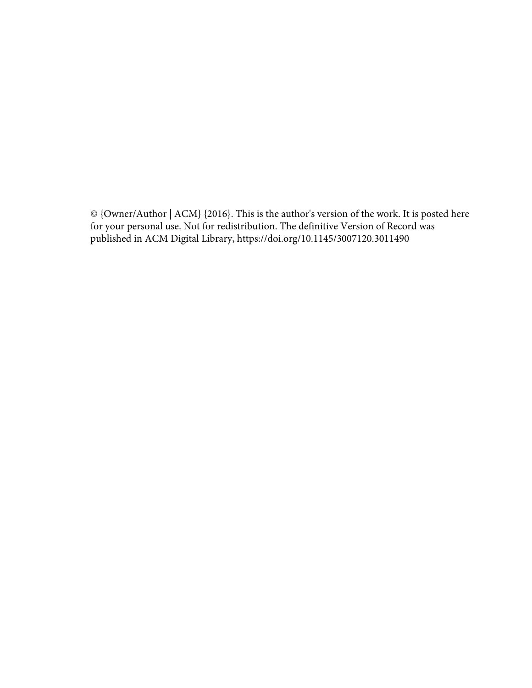© {Owner/Author | ACM} {2016}. This is the author's version of the work. It is posted here for your personal use. Not for redistribution. The definitive Version of Record was published in ACM Digital Library, https://doi.org/10.1145/3007120.3011490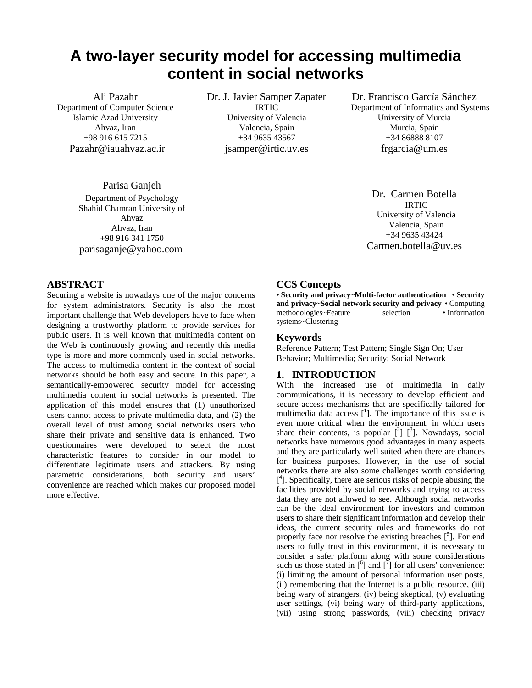# **A two-layer security model for accessing multimedia content in social networks**

Ali Pazahr Department of Computer Science Islamic Azad University Ahvaz, Iran +98 916 615 7215 Pazahr@iauahvaz.ac.ir

Parisa Ganjeh

Department of Psychology Shahid Chamran University of Ahvaz Ahvaz, Iran +98 916 341 1750 parisaganje@yahoo.com

Dr. J. Javier Samper Zapater IRTIC University of Valencia Valencia, Spain +34 9635 43567 jsamper@irtic.uv.es

Dr. Francisco García Sánchez Department of Informatics and Systems University of Murcia Murcia, Spain +34 86888 8107 frgarcia@um.es

> Dr. Carmen Botella **IRTIC** University of Valencia Valencia, Spain +34 9635 43424 Carmen.botella@uv.es

# **ABSTRACT**

Securing a website is nowadays one of the major concerns for system administrators. Security is also the most important challenge that Web developers have to face when designing a trustworthy platform to provide services for public users. It is well known that multimedia content on the Web is continuously growing and recently this media type is more and more commonly used in social networks. The access to multimedia content in the context of social networks should be both easy and secure. In this paper, a semantically-empowered security model for accessing multimedia content in social networks is presented. The application of this model ensures that (1) unauthorized users cannot access to private multimedia data, and (2) the overall level of trust among social networks users who share their private and sensitive data is enhanced. Two questionnaires were developed to select the most characteristic features to consider in our model to differentiate legitimate users and attackers. By using parametric considerations, both security and users' convenience are reached which makes our proposed model more effective.

#### **CCS Concepts**

**• Security and privacy~Multi-factor authentication • Security and privacy~Social network security and privacy** • Computing methodologies~Feature selection • Information systems~Clustering

#### **Keywords**

Reference Pattern; Test Pattern; Single Sign On; User Behavior; Multimedia; Security; Social Network

# **1. INTRODUCTION**

With the increased use of multimedia in daily communications, it is necessary to develop efficient and secure access mechanisms that are specifically tailored for multimedia data access  $[1]$ . The importance of this issue is even more critical when the environment, in which users share their contents, is popular  $\begin{bmatrix} 2 \end{bmatrix}$   $\begin{bmatrix} 3 \end{bmatrix}$ . Nowadays, social networks have numerous good advantages in many aspects and they are particularly well suited when there are chances for business purposes. However, in the use of social networks there are also some challenges worth considering [ 4 ]. Specifically, there are serious risks of people abusing the facilities provided by social networks and trying to access data they are not allowed to see. Although social networks can be the ideal environment for investors and common users to share their significant information and develop their ideas, the current security rules and frameworks do not properly face nor resolve the existing breaches  $\left[\begin{matrix}5\end{matrix}\right]$ . For end users to fully trust in this environment, it is necessary to consider a safer platform along with some considerations such us those stated in  $\begin{bmatrix} 6 \end{bmatrix}$  and  $\begin{bmatrix} 7 \end{bmatrix}$  for all users' convenience: (i) limiting the amount of personal information user posts, (ii) remembering that the Internet is a public resource, (iii) being wary of strangers, (iv) being skeptical, (v) evaluating user settings, (vi) being wary of third-party applications, (vii) using strong passwords, (viii) checking privacy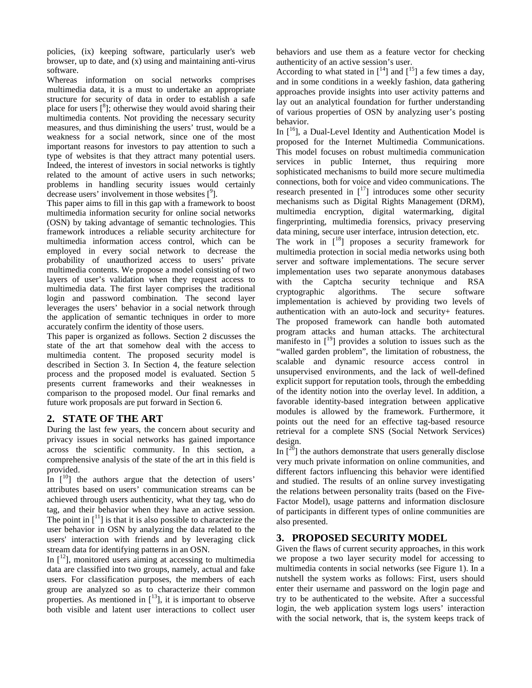policies, (ix) keeping software, particularly user's web browser, up to date, and (x) using and maintaining anti-virus software.

Whereas information on social networks comprises multimedia data, it is a must to undertake an appropriate structure for security of data in order to establish a safe place for users  $[8]$ ; otherwise they would avoid sharing their multimedia contents. Not providing the necessary security measures, and thus diminishing the users' trust, would be a weakness for a social network, since one of the most important reasons for investors to pay attention to such a type of websites is that they attract many potential users. Indeed, the interest of investors in social networks is tightly related to the amount of active users in such networks; problems in handling security issues would certainly decrease users' involvement in those websites  $[^9]$ .

This paper aims to fill in this gap with a framework to boost multimedia information security for online social networks (OSN) by taking advantage of semantic technologies. This framework introduces a reliable security architecture for multimedia information access control, which can be employed in every social network to decrease the probability of unauthorized access to users' private multimedia contents. We propose a model consisting of two layers of user's validation when they request access to multimedia data. The first layer comprises the traditional login and password combination. The second layer leverages the users' behavior in a social network through the application of semantic techniques in order to more accurately confirm the identity of those users.

This paper is organized as follows. Section 2 discusses the state of the art that somehow deal with the access to multimedia content. The proposed security model is described in Section 3. In Section 4, the feature selection process and the proposed model is evaluated. Section 5 presents current frameworks and their weaknesses in comparison to the proposed model. Our final remarks and future work proposals are put forward in Section 6.

# **2. STATE OF THE ART**

During the last few years, the concern about security and privacy issues in social networks has gained importance across the scientific community. In this section, a comprehensive analysis of the state of the art in this field is provided.

In  $[10]$  the authors argue that the detection of users' attributes based on users' communication streams can be achieved through users authenticity, what they tag, who do tag, and their behavior when they have an active session. The point in  $\mathfrak{[}^{11}$  is that it is also possible to characterize the user behavior in OSN by analyzing the data related to the users' interaction with friends and by leveraging click stream data for identifying patterns in an OSN.

In  $[12]$ , monitored users aiming at accessing to multimedia data are classified into two groups, namely, actual and fake users. For classification purposes, the members of each group are analyzed so as to characterize their common properties. As mentioned in  $[<sup>13</sup>]$ , it is important to observe both visible and latent user interactions to collect user

behaviors and use them as a feature vector for checking authenticity of an active session's user.

According to what stated in  $[14]$  and  $[15]$  a few times a day, and in some conditions in a weekly fashion, data gathering approaches provide insights into user activity patterns and lay out an analytical foundation for further understanding of various properties of OSN by analyzing user's posting behavior.

In  $[16]$ , a Dual-Level Identity and Authentication Model is proposed for the Internet Multimedia Communications. This model focuses on robust multimedia communication services in public Internet, thus requiring more sophisticated mechanisms to build more secure multimedia connections, both for voice and video communications. The research presented in  $\begin{bmatrix} 1^7 \end{bmatrix}$  introduces some other security mechanisms such as Digital Rights Management (DRM), multimedia encryption, digital watermarking, digital fingerprinting, multimedia forensics, privacy preserving data mining, secure user interface, intrusion detection, etc.

The work in  $[18]$  proposes a security framework for multimedia protection in social media networks using both server and software implementations. The secure server implementation uses two separate anonymous databases with the Captcha security technique and RSA cryptographic algorithms. The secure software implementation is achieved by providing two levels of authentication with an auto-lock and security+ features. The proposed framework can handle both automated program attacks and human attacks. The architectural manifesto in  $\lceil \cdot^{\infty} \rceil$  provides a solution to issues such as the "walled garden problem", the limitation of robustness, the scalable and dynamic resource access control in unsupervised environments, and the lack of well-defined explicit support for reputation tools, through the embedding of the identity notion into the overlay level. In addition, a favorable identity-based integration between applicative modules is allowed by the framework. Furthermore, it points out the need for an effective tag-based resource retrieval for a complete SNS (Social Network Services) design.

In  $\left[2^{20}\right]$  the authors demonstrate that users generally disclose very much private information on online communities, and different factors influencing this behavior were identified and studied. The results of an online survey investigating the relations between personality traits (based on the Five-Factor Model), usage patterns and information disclosure of participants in different types of online communities are also presented.

# **3. PROPOSED SECURITY MODEL**

Given the flaws of current security approaches, in this work we propose a two layer security model for accessing to multimedia contents in social networks (see [Figure 1\)](#page-3-0). In a nutshell the system works as follows: First, users should enter their username and password on the login page and try to be authenticated to the website. After a successful login, the web application system logs users' interaction with the social network, that is, the system keeps track of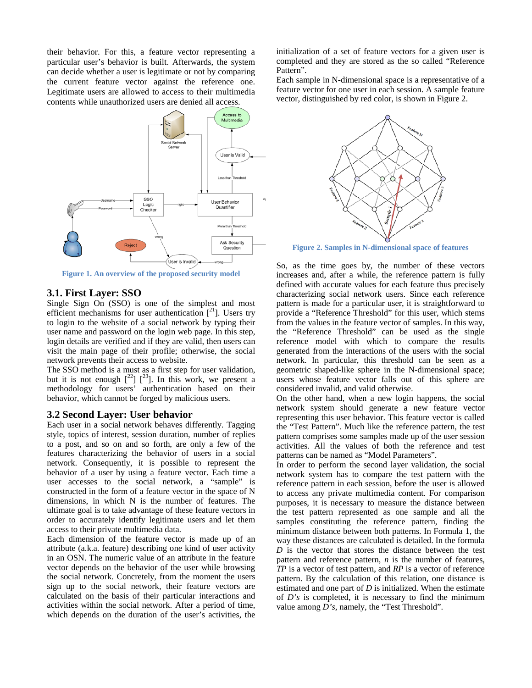their behavior. For this, a feature vector representing a particular user's behavior is built. Afterwards, the system can decide whether a user is legitimate or not by comparing the current feature vector against the reference one. Legitimate users are allowed to access to their multimedia contents while unauthorized users are denied all access.



<span id="page-3-0"></span>**Figure 1. An overview of the proposed security model**

# **3.1. First Layer: SSO**

Single Sign On (SSO) is one of the simplest and most efficient mechanisms for user authentication  $\binom{21}{1}$ . Users try to login to the website of a social network by typing their user name and password on the login web page. In this step, login details are verified and if they are valid, then users can visit the main page of their profile; otherwise, the social network prevents their access to website.

The SSO method is a must as a first step for user validation, but it is not enough  $\binom{22}{1}$   $\binom{23}{1}$ . In this work, we present a methodology for users' authentication based on their behavior, which cannot be forged by malicious users.

#### **3.2 Second Layer: User behavior**

Each user in a social network behaves differently. Tagging style, topics of interest, session duration, number of replies to a post, and so on and so forth, are only a few of the features characterizing the behavior of users in a social network. Consequently, it is possible to represent the behavior of a user by using a feature vector. Each time a user accesses to the social network, a "sample" is constructed in the form of a feature vector in the space of N dimensions, in which N is the number of features. The ultimate goal is to take advantage of these feature vectors in order to accurately identify legitimate users and let them access to their private multimedia data.

Each dimension of the feature vector is made up of an attribute (a.k.a. feature) describing one kind of user activity in an OSN. The numeric value of an attribute in the feature vector depends on the behavior of the user while browsing the social network. Concretely, from the moment the users sign up to the social network, their feature vectors are calculated on the basis of their particular interactions and activities within the social network. After a period of time, which depends on the duration of the user's activities, the

initialization of a set of feature vectors for a given user is completed and they are stored as the so called "Reference Pattern".

Each sample in N-dimensional space is a representative of a feature vector for one user in each session. A sample feature vector, distinguished by red color, is shown in Figure 2.



**Figure 2. Samples in N-dimensional space of features**

So, as the time goes by, the number of these vectors increases and, after a while, the reference pattern is fully defined with accurate values for each feature thus precisely characterizing social network users. Since each reference pattern is made for a particular user, it is straightforward to provide a "Reference Threshold" for this user, which stems from the values in the feature vector of samples. In this way, the "Reference Threshold" can be used as the single reference model with which to compare the results generated from the interactions of the users with the social network. In particular, this threshold can be seen as a geometric shaped-like sphere in the N-dimensional space; users whose feature vector falls out of this sphere are considered invalid, and valid otherwise.

On the other hand, when a new login happens, the social network system should generate a new feature vector representing this user behavior. This feature vector is called the "Test Pattern". Much like the reference pattern, the test pattern comprises some samples made up of the user session activities. All the values of both the reference and test patterns can be named as "Model Parameters".

In order to perform the second layer validation, the social network system has to compare the test pattern with the reference pattern in each session, before the user is allowed to access any private multimedia content. For comparison purposes, it is necessary to measure the distance between the test pattern represented as one sample and all the samples constituting the reference pattern, finding the minimum distance between both patterns. In Formula 1, the way these distances are calculated is detailed. In the formula *D* is the vector that stores the distance between the test pattern and reference pattern, *n* is the number of features, *TP* is a vector of test pattern, and *RP* is a vector of reference pattern. By the calculation of this relation, one distance is estimated and one part of *D* is initialized. When the estimate of *D's* is completed, it is necessary to find the minimum value among *D's*, namely, the "Test Threshold".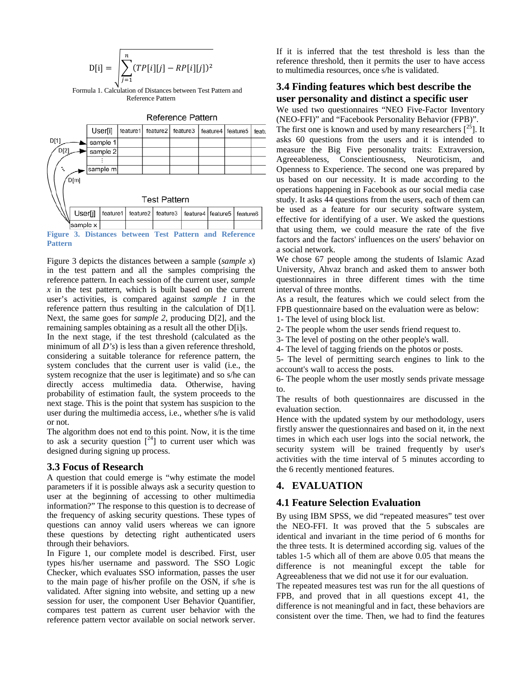

Formula 1. Calculation of Distances between Test Pattern and Reference Pattern



Figure 3 depicts the distances between a sample (*sample x*) in the test pattern and all the samples comprising the reference pattern. In each session of the current user, *sample x* in the test pattern, which is built based on the current user's activities, is compared against *sample 1* in the reference pattern thus resulting in the calculation of D[1]. Next, the same goes for *sample 2*, producing D[2], and the remaining samples obtaining as a result all the other D[i]s.

In the next stage, if the test threshold (calculated as the minimum of all *D*'s) is less than a given reference threshold, considering a suitable tolerance for reference pattern, the system concludes that the current user is valid (i.e., the system recognize that the user is legitimate) and so s/he can directly access multimedia data. Otherwise, having probability of estimation fault, the system proceeds to the next stage. This is the point that system has suspicion to the user during the multimedia access, i.e., whether s/he is valid or not.

The algorithm does not end to this point. Now, it is the time to ask a security question  $\binom{24}{1}$  to current user which was designed during signing up process.

#### **3.3 Focus of Research**

A question that could emerge is "why estimate the model parameters if it is possible always ask a security question to user at the beginning of accessing to other multimedia information?" The response to this question is to decrease of the frequency of asking security questions. These types of questions can annoy valid users whereas we can ignore these questions by detecting right authenticated users through their behaviors.

In Figure 1, our complete model is described. First, user types his/her username and password. The SSO Logic Checker, which evaluates SSO information, passes the user to the main page of his/her profile on the OSN, if s/he is validated. After signing into website, and setting up a new session for user, the component User Behavior Quantifier, compares test pattern as current user behavior with the reference pattern vector available on social network server.

If it is inferred that the test threshold is less than the reference threshold, then it permits the user to have access to multimedia resources, once s/he is validated.

# **3.4 Finding features which best describe the user personality and distinct a specific user**

We used two questionnaires "NEO Five-Factor Inventory (NEO-FFI)" and "Facebook Personality Behavior (FPB)". The first one is known and used by many researchers  $[^{25}]$ . It asks 60 questions from the users and it is intended to measure the Big Five personality traits: Extraversion, Agreeableness, Conscientiousness, Neuroticism, and Openness to Experience. The second one was prepared by us based on our necessity. It is made according to the operations happening in Facebook as our social media case study. It asks 44 questions from the users, each of them can be used as a feature for our security software system, effective for identifying of a user. We asked the questions that using them, we could measure the rate of the five factors and the factors' influences on the users' behavior on a social network.

We chose 67 people among the students of Islamic Azad University, Ahvaz branch and asked them to answer both questionnaires in three different times with the time interval of three months.

As a result, the features which we could select from the FPB questionnaire based on the evaluation were as below:

1- The level of using block list.

2- The people whom the user sends friend request to.

3- The level of posting on the other people's wall.

4- The level of tagging friends on the photos or posts.

5- The level of permitting search engines to link to the account's wall to access the posts.

6- The people whom the user mostly sends private message to.

The results of both questionnaires are discussed in the evaluation section.

Hence with the updated system by our methodology, users firstly answer the questionnaires and based on it, in the next times in which each user logs into the social network, the security system will be trained frequently by user's activities with the time interval of 5 minutes according to the 6 recently mentioned features.

# **4. EVALUATION**

# **4.1 Feature Selection Evaluation**

By using IBM SPSS, we did "repeated measures" test over the NEO-FFI. It was proved that the 5 subscales are identical and invariant in the time period of 6 months for the three tests. It is determined according sig. values of the tables 1-5 which all of them are above 0.05 that means the difference is not meaningful except the table for Agreeableness that we did not use it for our evaluation.

The repeated measures test was run for the all questions of FPB, and proved that in all questions except 41, the difference is not meaningful and in fact, these behaviors are consistent over the time. Then, we had to find the features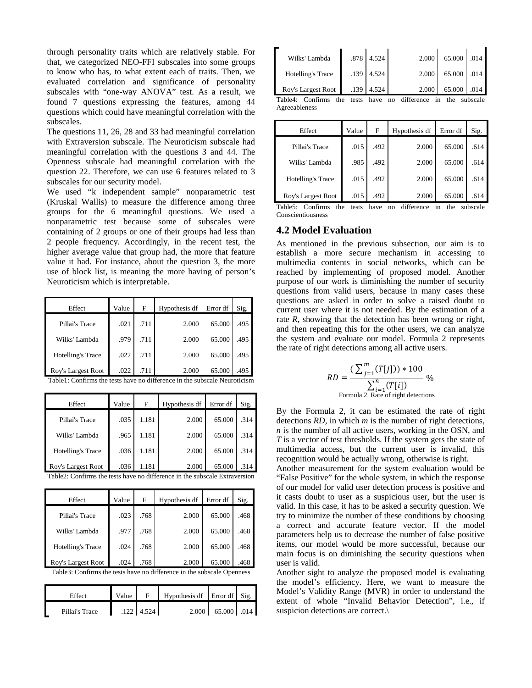through personality traits which are relatively stable. For that, we categorized NEO-FFI subscales into some groups to know who has, to what extent each of traits. Then, we evaluated correlation and significance of personality subscales with "one-way ANOVA" test. As a result, we found 7 questions expressing the features, among 44 questions which could have meaningful correlation with the subscales.

The questions 11, 26, 28 and 33 had meaningful correlation with Extraversion subscale. The Neuroticism subscale had meaningful correlation with the questions 3 and 44. The Openness subscale had meaningful correlation with the question 22. Therefore, we can use 6 features related to 3 subscales for our security model.

We used "k independent sample" nonparametric test (Kruskal Wallis) to measure the difference among three groups for the 6 meaningful questions. We used a nonparametric test because some of subscales were containing of 2 groups or one of their groups had less than 2 people frequency. Accordingly, in the recent test, the higher average value that group had, the more that feature value it had. For instance, about the question 3, the more use of block list, is meaning the more having of person's Neuroticism which is interpretable.

| Effect             | Value | F    | Hypothesis df | Error df | Sig. |
|--------------------|-------|------|---------------|----------|------|
| Pillai's Trace     | .021  | .711 | 2.000         | 65.000   | .495 |
| Wilks' Lambda      | .979  | .711 | 2.000         | 65.000   | .495 |
| Hotelling's Trace  | .022  | .711 | 2.000         | 65.000   | .495 |
| Roy's Largest Root | .022  | .711 | 2.000         | 65.000   | .495 |

| Table1: Confirms the tests have no difference in the subscale Neuroticism |  |  |  |
|---------------------------------------------------------------------------|--|--|--|
|---------------------------------------------------------------------------|--|--|--|

| Effect                                                                                             | Value | F     | Hypothesis df | Error df | Sig. |
|----------------------------------------------------------------------------------------------------|-------|-------|---------------|----------|------|
| Pillai's Trace                                                                                     | .035  | 1.181 | 2.000         | 65.000   | .314 |
| Wilks' Lambda                                                                                      | .965  | 1.181 | 2.000         | 65.000   | .314 |
| Hotelling's Trace                                                                                  | .036  | 1.181 | 2.000         | 65.000   | .314 |
| Roy's Largest Root<br>$Table 2: Confirms the test have no difference in the subscale Evtraversion$ | .036  | 1.181 | 2.000         | 65.000   | .314 |

| Table 2: Confirms the tests have no difference in the subscale Extraversion |  |
|-----------------------------------------------------------------------------|--|
|-----------------------------------------------------------------------------|--|

| Effect                                                                 | Value | F    | Hypothesis df | Error df | Sig. |
|------------------------------------------------------------------------|-------|------|---------------|----------|------|
| Pillai's Trace                                                         | .023  | .768 | 2.000         | 65.000   | .468 |
| Wilks' Lambda                                                          | .977  | .768 | 2.000         | 65.000   | .468 |
| Hotelling's Trace                                                      | .024  | .768 | 2.000         | 65.000   | .468 |
| Roy's Largest Root                                                     | .024  | .768 | 2.000         | 65.000   | .468 |
| Table3: Confirms the tests have no difference in the subscale Openness |       |      |               |          |      |

| Effect         | Value |                    | Hypothesis df Error df Sig. |                   |  |
|----------------|-------|--------------------|-----------------------------|-------------------|--|
| Pillai's Trace |       | $.122 \quad 4.524$ |                             | 2.000 65.000 .014 |  |

| Wilks' Lambda              |       | .878 4.524 | 2.000                      | 65.000    | .014     |
|----------------------------|-------|------------|----------------------------|-----------|----------|
| Hotelling's Trace          | .139  | 4.524      | 2.000                      | 65.000    | .014     |
| Roy's Largest Root         | .139  | 4.524      | 2.000                      | 65.000    | .014     |
| $Conframe$ the<br>Table 4. | tecto | have       | difference<br>$n_{\Omega}$ | the<br>in | eubecale |

Table4: Confirms the tests have no difference in the subscale Agreeableness

| Effect             | Value | F    | Hypothesis df | Error df | Sig. |
|--------------------|-------|------|---------------|----------|------|
| Pillai's Trace     | .015  | .492 | 2.000         | 65.000   | .614 |
| Wilks' Lambda      | .985  | .492 | 2.000         | 65.000   | .614 |
| Hotelling's Trace  | .015  | .492 | 2.000         | 65.000   | .614 |
| Roy's Largest Root | .015  | .492 | 2.000         | 65.000   | .614 |

Table5: Confirms the tests have no difference in the subscale Conscientiousness

#### **4.2 Model Evaluation**

As mentioned in the previous subsection, our aim is to establish a more secure mechanism in accessing to multimedia contents in social networks, which can be reached by implementing of proposed model. Another purpose of our work is diminishing the number of security questions from valid users, because in many cases these questions are asked in order to solve a raised doubt to current user where it is not needed. By the estimation of a rate *R*, showing that the detection has been wrong or right, and then repeating this for the other users, we can analyze the system and evaluate our model. Formula 2 represents the rate of right detections among all active users.

$$
RD = \frac{(\sum_{j=1}^{m} (T[j])) * 100}{\sum_{i=1}^{n} (T[i])} %
$$
  
Formula 2. Rate of right detections

By the Formula 2, it can be estimated the rate of right detections *RD*, in which *m* is the number of right detections, *n* is the number of all active users, working in the OSN, and *T* is a vector of test thresholds. If the system gets the state of multimedia access, but the current user is invalid, this recognition would be actually wrong, otherwise is right.

Another measurement for the system evaluation would be "False Positive" for the whole system, in which the response of our model for valid user detection process is positive and it casts doubt to user as a suspicious user, but the user is valid. In this case, it has to be asked a security question. We try to minimize the number of these conditions by choosing a correct and accurate feature vector. If the model parameters help us to decrease the number of false positive items, our model would be more successful, because our main focus is on diminishing the security questions when user is valid.

Another sight to analyze the proposed model is evaluating the model's efficiency. Here, we want to measure the Model's Validity Range (MVR) in order to understand the extent of whole "Invalid Behavior Detection", i.e., if suspicion detections are correct.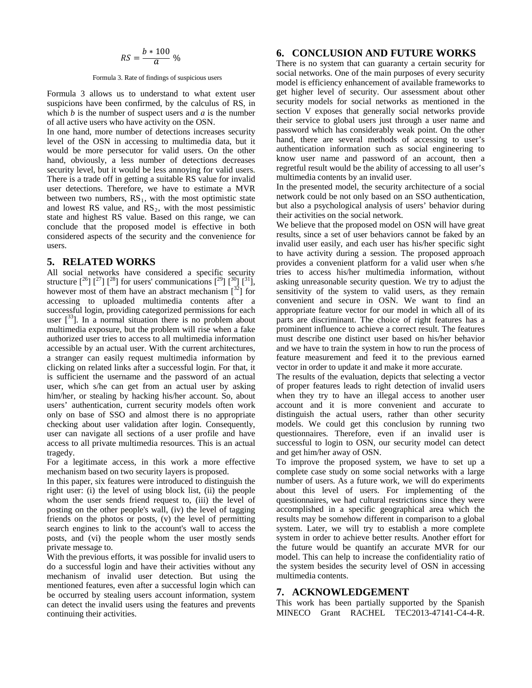$$
RS = \frac{b * 100}{a} \%
$$

Formula 3. Rate of findings of suspicious users

Formula 3 allows us to understand to what extent user suspicions have been confirmed, by the calculus of RS, in which *b* is the number of suspect users and *a* is the number of all active users who have activity on the OSN.

In one hand, more number of detections increases security level of the OSN in accessing to multimedia data, but it would be more persecutor for valid users. On the other hand, obviously, a less number of detections decreases security level, but it would be less annoying for valid users. There is a trade off in getting a suitable RS value for invalid user detections. Therefore, we have to estimate a MVR between two numbers,  $RS<sub>1</sub>$ , with the most optimistic state and lowest RS value, and  $RS<sub>2</sub>$ , with the most pessimistic state and highest RS value. Based on this range, we can conclude that the proposed model is effective in both considered aspects of the security and the convenience for users.

#### **5. RELATED WORKS**

All social networks have considered a specific security structure  $\left[\begin{array}{cc} 2^{26} \end{array}\right]$   $\left[\begin{array}{c} 2^{27} \end{array}\right]$   $\left[\begin{array}{c} 2^{8} \end{array}\right]$  for users' communications  $\left[\begin{array}{c} 2^{9} \end{array}\right]$   $\left[\begin{array}{c} 3^{1} \end{array}\right]$ , however most of them have an abstract mechanism  $\int_0^{32}$  for accessing to uploaded multimedia contents after a successful login, providing categorized permissions for each user  $\left[\begin{array}{c}33\end{array}\right]$ . In a normal situation there is no problem about multimedia exposure, but the problem will rise when a fake authorized user tries to access to all multimedia information accessible by an actual user. With the current architectures, a stranger can easily request multimedia information by clicking on related links after a successful login. For that, it is sufficient the username and the password of an actual user, which s/he can get from an actual user by asking him/her, or stealing by hacking his/her account. So, about users' authentication, current security models often work only on base of SSO and almost there is no appropriate checking about user validation after login. Consequently, user can navigate all sections of a user profile and have access to all private multimedia resources. This is an actual tragedy.

For a legitimate access, in this work a more effective mechanism based on two security layers is proposed.

In this paper, six features were introduced to distinguish the right user: (i) the level of using block list, (ii) the people whom the user sends friend request to, (iii) the level of posting on the other people's wall, (iv) the level of tagging friends on the photos or posts, (v) the level of permitting search engines to link to the account's wall to access the posts, and (vi) the people whom the user mostly sends private message to.

With the previous efforts, it was possible for invalid users to do a successful login and have their activities without any mechanism of invalid user detection. But using the mentioned features, even after a successful login which can be occurred by stealing users account information, system can detect the invalid users using the features and prevents continuing their activities.

## **6. CONCLUSION AND FUTURE WORKS**

There is no system that can guaranty a certain security for social networks. One of the main purposes of every security model is efficiency enhancement of available frameworks to get higher level of security. Our assessment about other security models for social networks as mentioned in the section V exposes that generally social networks provide their service to global users just through a user name and password which has considerably weak point. On the other hand, there are several methods of accessing to user's authentication information such as social engineering to know user name and password of an account, then a regretful result would be the ability of accessing to all user's multimedia contents by an invalid user.

In the presented model, the security architecture of a social network could be not only based on an SSO authentication, but also a psychological analysis of users' behavior during their activities on the social network.

We believe that the proposed model on OSN will have great results, since a set of user behaviors cannot be faked by an invalid user easily, and each user has his/her specific sight to have activity during a session. The proposed approach provides a convenient platform for a valid user when s/he tries to access his/her multimedia information, without asking unreasonable security question. We try to adjust the sensitivity of the system to valid users, as they remain convenient and secure in OSN. We want to find an appropriate feature vector for our model in which all of its parts are discriminant. The choice of right features has a prominent influence to achieve a correct result. The features must describe one distinct user based on his/her behavior and we have to train the system in how to run the process of feature measurement and feed it to the previous earned vector in order to update it and make it more accurate.

The results of the evaluation, depicts that selecting a vector of proper features leads to right detection of invalid users when they try to have an illegal access to another user account and it is more convenient and accurate to distinguish the actual users, rather than other security models. We could get this conclusion by running two questionnaires. Therefore, even if an invalid user is successful to login to OSN, our security model can detect and get him/her away of OSN.

To improve the proposed system, we have to set up a complete case study on some social networks with a large number of users. As a future work, we will do experiments about this level of users. For implementing of the questionnaires, we had cultural restrictions since they were accomplished in a specific geographical area which the results may be somehow different in comparison to a global system. Later, we will try to establish a more complete system in order to achieve better results. Another effort for the future would be quantify an accurate MVR for our model. This can help to increase the confidentiality ratio of the system besides the security level of OSN in accessing multimedia contents.

## **7. ACKNOWLEDGEMENT**

This work has been partially supported by the Spanish MINECO Grant RACHEL TEC2013-47141-C4-4-R.